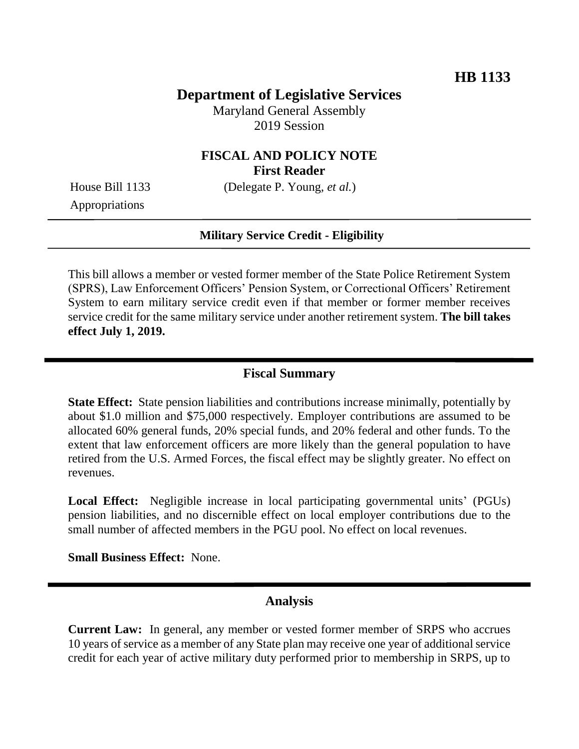## **Department of Legislative Services**

Maryland General Assembly 2019 Session

#### **FISCAL AND POLICY NOTE First Reader**

House Bill 1133 (Delegate P. Young, *et al.*)

Appropriations

#### **Military Service Credit - Eligibility**

This bill allows a member or vested former member of the State Police Retirement System (SPRS), Law Enforcement Officers' Pension System, or Correctional Officers' Retirement System to earn military service credit even if that member or former member receives service credit for the same military service under another retirement system. **The bill takes effect July 1, 2019.** 

#### **Fiscal Summary**

**State Effect:** State pension liabilities and contributions increase minimally, potentially by about \$1.0 million and \$75,000 respectively. Employer contributions are assumed to be allocated 60% general funds, 20% special funds, and 20% federal and other funds. To the extent that law enforcement officers are more likely than the general population to have retired from the U.S. Armed Forces, the fiscal effect may be slightly greater. No effect on revenues.

Local Effect: Negligible increase in local participating governmental units' (PGUs) pension liabilities, and no discernible effect on local employer contributions due to the small number of affected members in the PGU pool. No effect on local revenues.

**Small Business Effect:** None.

#### **Analysis**

**Current Law:** In general, any member or vested former member of SRPS who accrues 10 years of service as a member of any State plan may receive one year of additional service credit for each year of active military duty performed prior to membership in SRPS, up to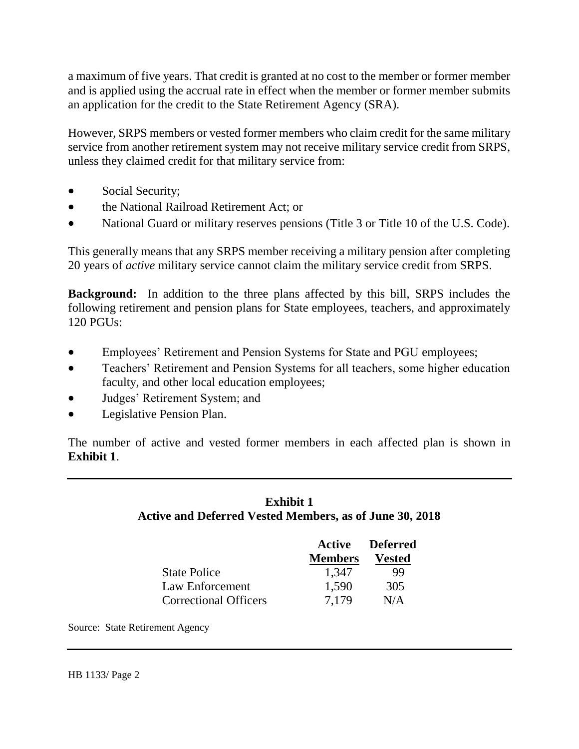a maximum of five years. That credit is granted at no cost to the member or former member and is applied using the accrual rate in effect when the member or former member submits an application for the credit to the State Retirement Agency (SRA).

However, SRPS members or vested former members who claim credit for the same military service from another retirement system may not receive military service credit from SRPS, unless they claimed credit for that military service from:

- Social Security;
- the National Railroad Retirement Act; or
- National Guard or military reserves pensions (Title 3 or Title 10 of the U.S. Code).

This generally means that any SRPS member receiving a military pension after completing 20 years of *active* military service cannot claim the military service credit from SRPS.

**Background:** In addition to the three plans affected by this bill, SRPS includes the following retirement and pension plans for State employees, teachers, and approximately  $120$  PGUs:

- Employees' Retirement and Pension Systems for State and PGU employees;
- Teachers' Retirement and Pension Systems for all teachers, some higher education faculty, and other local education employees;
- Judges' Retirement System; and
- Legislative Pension Plan.

The number of active and vested former members in each affected plan is shown in **Exhibit 1**.

# **Exhibit 1 Active and Deferred Vested Members, as of June 30, 2018**

|                              |                | <b>Active Deferred</b> |
|------------------------------|----------------|------------------------|
|                              | <b>Members</b> | Vested                 |
| <b>State Police</b>          | 1,347          | 99                     |
| Law Enforcement              | 1,590          | 305                    |
| <b>Correctional Officers</b> | 7.179          | N/A                    |

Source: State Retirement Agency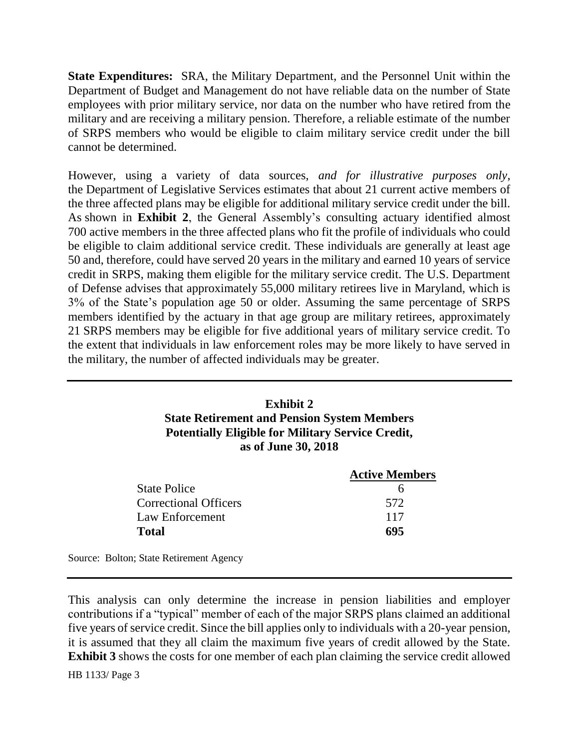**State Expenditures:** SRA, the Military Department, and the Personnel Unit within the Department of Budget and Management do not have reliable data on the number of State employees with prior military service, nor data on the number who have retired from the military and are receiving a military pension. Therefore, a reliable estimate of the number of SRPS members who would be eligible to claim military service credit under the bill cannot be determined.

However, using a variety of data sources, *and for illustrative purposes only*, the Department of Legislative Services estimates that about 21 current active members of the three affected plans may be eligible for additional military service credit under the bill. As shown in **Exhibit 2**, the General Assembly's consulting actuary identified almost 700 active members in the three affected plans who fit the profile of individuals who could be eligible to claim additional service credit. These individuals are generally at least age 50 and, therefore, could have served 20 years in the military and earned 10 years of service credit in SRPS, making them eligible for the military service credit. The U.S. Department of Defense advises that approximately 55,000 military retirees live in Maryland, which is 3% of the State's population age 50 or older. Assuming the same percentage of SRPS members identified by the actuary in that age group are military retirees, approximately 21 SRPS members may be eligible for five additional years of military service credit. To the extent that individuals in law enforcement roles may be more likely to have served in the military, the number of affected individuals may be greater.

## **Exhibit 2 State Retirement and Pension System Members Potentially Eligible for Military Service Credit, as of June 30, 2018**

|                              | <b>Active Members</b> |
|------------------------------|-----------------------|
| <b>State Police</b>          |                       |
| <b>Correctional Officers</b> | 572                   |
| Law Enforcement              | 117                   |
| <b>Total</b>                 | 695                   |
|                              |                       |

Source: Bolton; State Retirement Agency

This analysis can only determine the increase in pension liabilities and employer contributions if a "typical" member of each of the major SRPS plans claimed an additional five years of service credit. Since the bill applies only to individuals with a 20-year pension, it is assumed that they all claim the maximum five years of credit allowed by the State. **Exhibit 3** shows the costs for one member of each plan claiming the service credit allowed

HB 1133/ Page 3